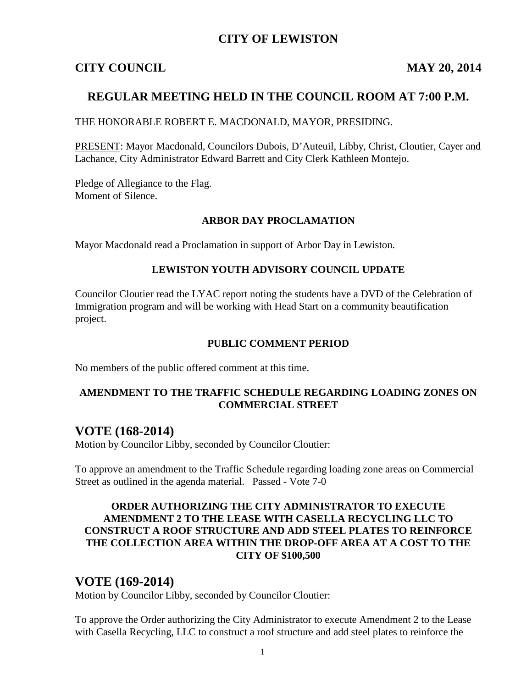## **CITY OF LEWISTON**

## **CITY COUNCIL MAY 20, 2014**

## **REGULAR MEETING HELD IN THE COUNCIL ROOM AT 7:00 P.M.**

#### THE HONORABLE ROBERT E. MACDONALD, MAYOR, PRESIDING.

PRESENT: Mayor Macdonald, Councilors Dubois, D'Auteuil, Libby, Christ, Cloutier, Cayer and Lachance, City Administrator Edward Barrett and City Clerk Kathleen Montejo.

Pledge of Allegiance to the Flag. Moment of Silence.

#### **ARBOR DAY PROCLAMATION**

Mayor Macdonald read a Proclamation in support of Arbor Day in Lewiston.

#### **LEWISTON YOUTH ADVISORY COUNCIL UPDATE**

Councilor Cloutier read the LYAC report noting the students have a DVD of the Celebration of Immigration program and will be working with Head Start on a community beautification project.

#### **PUBLIC COMMENT PERIOD**

No members of the public offered comment at this time.

#### **AMENDMENT TO THE TRAFFIC SCHEDULE REGARDING LOADING ZONES ON COMMERCIAL STREET**

# **VOTE (168-2014)**

Motion by Councilor Libby, seconded by Councilor Cloutier:

To approve an amendment to the Traffic Schedule regarding loading zone areas on Commercial Street as outlined in the agenda material. Passed - Vote 7-0

#### **ORDER AUTHORIZING THE CITY ADMINISTRATOR TO EXECUTE AMENDMENT 2 TO THE LEASE WITH CASELLA RECYCLING LLC TO CONSTRUCT A ROOF STRUCTURE AND ADD STEEL PLATES TO REINFORCE THE COLLECTION AREA WITHIN THE DROP-OFF AREA AT A COST TO THE CITY OF \$100,500**

## **VOTE (169-2014)**

Motion by Councilor Libby, seconded by Councilor Cloutier:

To approve the Order authorizing the City Administrator to execute Amendment 2 to the Lease with Casella Recycling, LLC to construct a roof structure and add steel plates to reinforce the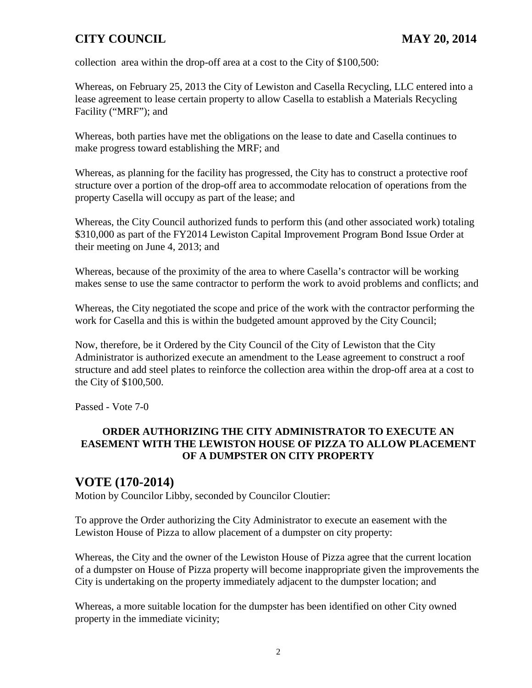collection area within the drop-off area at a cost to the City of \$100,500:

Whereas, on February 25, 2013 the City of Lewiston and Casella Recycling, LLC entered into a lease agreement to lease certain property to allow Casella to establish a Materials Recycling Facility ("MRF"); and

Whereas, both parties have met the obligations on the lease to date and Casella continues to make progress toward establishing the MRF; and

Whereas, as planning for the facility has progressed, the City has to construct a protective roof structure over a portion of the drop-off area to accommodate relocation of operations from the property Casella will occupy as part of the lease; and

Whereas, the City Council authorized funds to perform this (and other associated work) totaling \$310,000 as part of the FY2014 Lewiston Capital Improvement Program Bond Issue Order at their meeting on June 4, 2013; and

Whereas, because of the proximity of the area to where Casella's contractor will be working makes sense to use the same contractor to perform the work to avoid problems and conflicts; and

Whereas, the City negotiated the scope and price of the work with the contractor performing the work for Casella and this is within the budgeted amount approved by the City Council;

Now, therefore, be it Ordered by the City Council of the City of Lewiston that the City Administrator is authorized execute an amendment to the Lease agreement to construct a roof structure and add steel plates to reinforce the collection area within the drop-off area at a cost to the City of \$100,500.

Passed - Vote 7-0

#### **ORDER AUTHORIZING THE CITY ADMINISTRATOR TO EXECUTE AN EASEMENT WITH THE LEWISTON HOUSE OF PIZZA TO ALLOW PLACEMENT OF A DUMPSTER ON CITY PROPERTY**

# **VOTE (170-2014)**

Motion by Councilor Libby, seconded by Councilor Cloutier:

To approve the Order authorizing the City Administrator to execute an easement with the Lewiston House of Pizza to allow placement of a dumpster on city property:

Whereas, the City and the owner of the Lewiston House of Pizza agree that the current location of a dumpster on House of Pizza property will become inappropriate given the improvements the City is undertaking on the property immediately adjacent to the dumpster location; and

Whereas, a more suitable location for the dumpster has been identified on other City owned property in the immediate vicinity;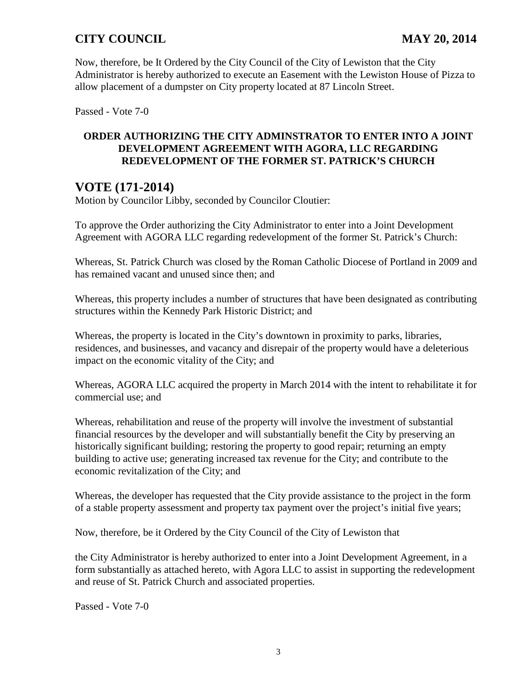Now, therefore, be It Ordered by the City Council of the City of Lewiston that the City Administrator is hereby authorized to execute an Easement with the Lewiston House of Pizza to allow placement of a dumpster on City property located at 87 Lincoln Street.

Passed - Vote 7-0

#### **ORDER AUTHORIZING THE CITY ADMINSTRATOR TO ENTER INTO A JOINT DEVELOPMENT AGREEMENT WITH AGORA, LLC REGARDING REDEVELOPMENT OF THE FORMER ST. PATRICK'S CHURCH**

# **VOTE (171-2014)**

Motion by Councilor Libby, seconded by Councilor Cloutier:

To approve the Order authorizing the City Administrator to enter into a Joint Development Agreement with AGORA LLC regarding redevelopment of the former St. Patrick's Church:

Whereas, St. Patrick Church was closed by the Roman Catholic Diocese of Portland in 2009 and has remained vacant and unused since then; and

Whereas, this property includes a number of structures that have been designated as contributing structures within the Kennedy Park Historic District; and

Whereas, the property is located in the City's downtown in proximity to parks, libraries, residences, and businesses, and vacancy and disrepair of the property would have a deleterious impact on the economic vitality of the City; and

Whereas, AGORA LLC acquired the property in March 2014 with the intent to rehabilitate it for commercial use; and

Whereas, rehabilitation and reuse of the property will involve the investment of substantial financial resources by the developer and will substantially benefit the City by preserving an historically significant building; restoring the property to good repair; returning an empty building to active use; generating increased tax revenue for the City; and contribute to the economic revitalization of the City; and

Whereas, the developer has requested that the City provide assistance to the project in the form of a stable property assessment and property tax payment over the project's initial five years;

Now, therefore, be it Ordered by the City Council of the City of Lewiston that

the City Administrator is hereby authorized to enter into a Joint Development Agreement, in a form substantially as attached hereto, with Agora LLC to assist in supporting the redevelopment and reuse of St. Patrick Church and associated properties.

Passed - Vote 7-0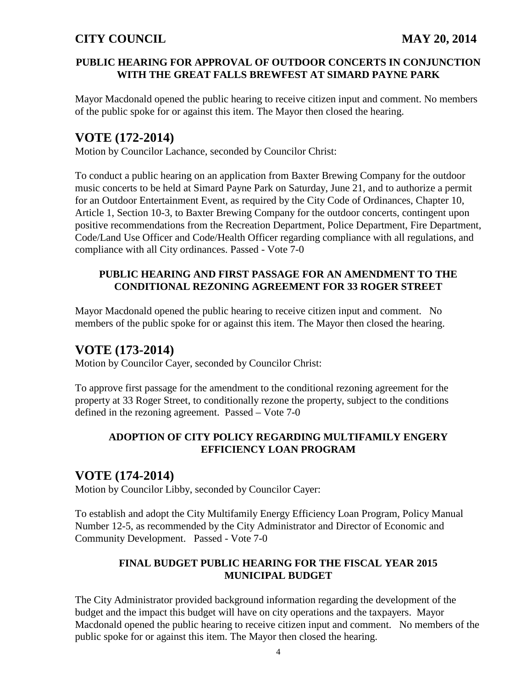#### **PUBLIC HEARING FOR APPROVAL OF OUTDOOR CONCERTS IN CONJUNCTION WITH THE GREAT FALLS BREWFEST AT SIMARD PAYNE PARK**

Mayor Macdonald opened the public hearing to receive citizen input and comment. No members of the public spoke for or against this item. The Mayor then closed the hearing.

# **VOTE (172-2014)**

Motion by Councilor Lachance, seconded by Councilor Christ:

To conduct a public hearing on an application from Baxter Brewing Company for the outdoor music concerts to be held at Simard Payne Park on Saturday, June 21, and to authorize a permit for an Outdoor Entertainment Event, as required by the City Code of Ordinances, Chapter 10, Article 1, Section 10-3, to Baxter Brewing Company for the outdoor concerts, contingent upon positive recommendations from the Recreation Department, Police Department, Fire Department, Code/Land Use Officer and Code/Health Officer regarding compliance with all regulations, and compliance with all City ordinances. Passed - Vote 7-0

#### **PUBLIC HEARING AND FIRST PASSAGE FOR AN AMENDMENT TO THE CONDITIONAL REZONING AGREEMENT FOR 33 ROGER STREET**

Mayor Macdonald opened the public hearing to receive citizen input and comment. No members of the public spoke for or against this item. The Mayor then closed the hearing.

# **VOTE (173-2014)**

Motion by Councilor Cayer, seconded by Councilor Christ:

To approve first passage for the amendment to the conditional rezoning agreement for the property at 33 Roger Street, to conditionally rezone the property, subject to the conditions defined in the rezoning agreement. Passed – Vote 7-0

#### **ADOPTION OF CITY POLICY REGARDING MULTIFAMILY ENGERY EFFICIENCY LOAN PROGRAM**

## **VOTE (174-2014)**

Motion by Councilor Libby, seconded by Councilor Cayer:

To establish and adopt the City Multifamily Energy Efficiency Loan Program, Policy Manual Number 12-5, as recommended by the City Administrator and Director of Economic and Community Development. Passed - Vote 7-0

#### **FINAL BUDGET PUBLIC HEARING FOR THE FISCAL YEAR 2015 MUNICIPAL BUDGET**

The City Administrator provided background information regarding the development of the budget and the impact this budget will have on city operations and the taxpayers. Mayor Macdonald opened the public hearing to receive citizen input and comment. No members of the public spoke for or against this item. The Mayor then closed the hearing.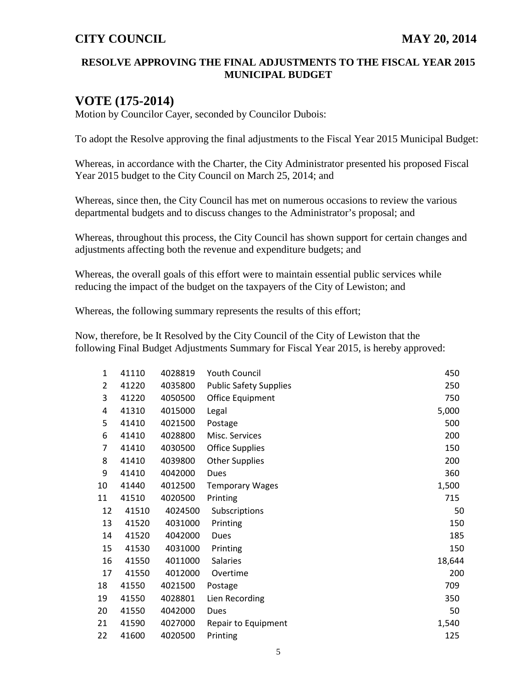#### **RESOLVE APPROVING THE FINAL ADJUSTMENTS TO THE FISCAL YEAR 2015 MUNICIPAL BUDGET**

# **VOTE (175-2014)**

Motion by Councilor Cayer, seconded by Councilor Dubois:

To adopt the Resolve approving the final adjustments to the Fiscal Year 2015 Municipal Budget:

Whereas, in accordance with the Charter, the City Administrator presented his proposed Fiscal Year 2015 budget to the City Council on March 25, 2014; and

Whereas, since then, the City Council has met on numerous occasions to review the various departmental budgets and to discuss changes to the Administrator's proposal; and

Whereas, throughout this process, the City Council has shown support for certain changes and adjustments affecting both the revenue and expenditure budgets; and

Whereas, the overall goals of this effort were to maintain essential public services while reducing the impact of the budget on the taxpayers of the City of Lewiston; and

Whereas, the following summary represents the results of this effort;

Now, therefore, be It Resolved by the City Council of the City of Lewiston that the following Final Budget Adjustments Summary for Fiscal Year 2015, is hereby approved:

| 1  | 41110 | 4028819 | <b>Youth Council</b>          | 450    |
|----|-------|---------|-------------------------------|--------|
| 2  | 41220 | 4035800 | <b>Public Safety Supplies</b> | 250    |
| 3  | 41220 | 4050500 | Office Equipment              | 750    |
| 4  | 41310 | 4015000 | Legal                         | 5,000  |
| 5  | 41410 | 4021500 | Postage                       | 500    |
| 6  | 41410 | 4028800 | Misc. Services                | 200    |
| 7  | 41410 | 4030500 | <b>Office Supplies</b>        | 150    |
| 8  | 41410 | 4039800 | <b>Other Supplies</b>         | 200    |
| 9  | 41410 | 4042000 | Dues                          | 360    |
| 10 | 41440 | 4012500 | <b>Temporary Wages</b>        | 1,500  |
| 11 | 41510 | 4020500 | Printing                      | 715    |
| 12 | 41510 | 4024500 | Subscriptions                 | 50     |
| 13 | 41520 | 4031000 | Printing                      | 150    |
| 14 | 41520 | 4042000 | Dues                          | 185    |
| 15 | 41530 | 4031000 | Printing                      | 150    |
| 16 | 41550 | 4011000 | <b>Salaries</b>               | 18,644 |
| 17 | 41550 | 4012000 | Overtime                      | 200    |
| 18 | 41550 | 4021500 | Postage                       | 709    |
| 19 | 41550 | 4028801 | Lien Recording                | 350    |
| 20 | 41550 | 4042000 | Dues                          | 50     |
| 21 | 41590 | 4027000 | Repair to Equipment           | 1,540  |
| 22 | 41600 | 4020500 | Printing                      | 125    |
|    |       |         |                               |        |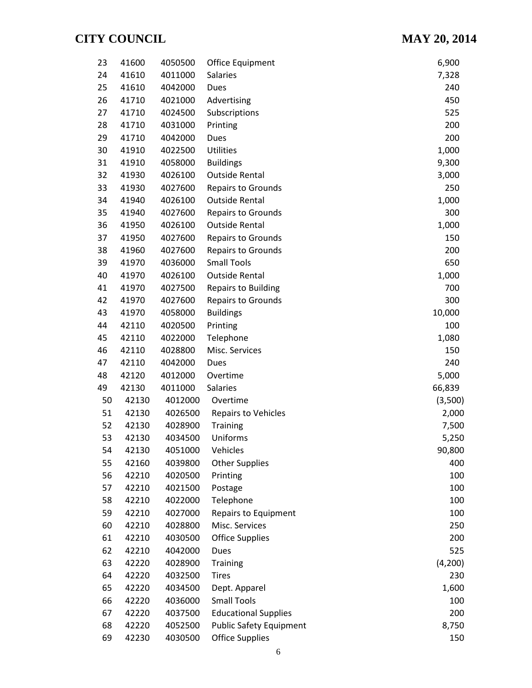| 23 | 41600 | 4050500 | Office Equipment               | 6,900   |
|----|-------|---------|--------------------------------|---------|
| 24 | 41610 | 4011000 | Salaries                       | 7,328   |
| 25 | 41610 | 4042000 | Dues                           | 240     |
| 26 | 41710 | 4021000 | Advertising                    | 450     |
| 27 | 41710 | 4024500 | Subscriptions                  | 525     |
| 28 | 41710 | 4031000 | Printing                       | 200     |
| 29 | 41710 | 4042000 | Dues                           | 200     |
| 30 | 41910 | 4022500 | <b>Utilities</b>               | 1,000   |
| 31 | 41910 | 4058000 | <b>Buildings</b>               | 9,300   |
| 32 | 41930 | 4026100 | <b>Outside Rental</b>          | 3,000   |
| 33 | 41930 | 4027600 | <b>Repairs to Grounds</b>      | 250     |
| 34 | 41940 | 4026100 | <b>Outside Rental</b>          | 1,000   |
| 35 | 41940 | 4027600 | Repairs to Grounds             | 300     |
| 36 | 41950 | 4026100 | <b>Outside Rental</b>          | 1,000   |
| 37 | 41950 | 4027600 | <b>Repairs to Grounds</b>      | 150     |
| 38 | 41960 | 4027600 | <b>Repairs to Grounds</b>      | 200     |
| 39 | 41970 | 4036000 | <b>Small Tools</b>             | 650     |
| 40 | 41970 | 4026100 | <b>Outside Rental</b>          | 1,000   |
| 41 | 41970 | 4027500 | Repairs to Building            | 700     |
| 42 | 41970 | 4027600 | <b>Repairs to Grounds</b>      | 300     |
| 43 | 41970 | 4058000 | <b>Buildings</b>               | 10,000  |
| 44 | 42110 | 4020500 | Printing                       | 100     |
| 45 | 42110 | 4022000 | Telephone                      | 1,080   |
| 46 | 42110 | 4028800 | Misc. Services                 | 150     |
| 47 | 42110 | 4042000 | Dues                           | 240     |
| 48 | 42120 | 4012000 | Overtime                       | 5,000   |
| 49 | 42130 | 4011000 | Salaries                       | 66,839  |
| 50 | 42130 | 4012000 | Overtime                       | (3,500) |
| 51 | 42130 | 4026500 | <b>Repairs to Vehicles</b>     | 2,000   |
| 52 | 42130 | 4028900 | <b>Training</b>                | 7,500   |
| 53 | 42130 | 4034500 | Uniforms                       | 5,250   |
| 54 | 42130 | 4051000 | Vehicles                       | 90,800  |
| 55 | 42160 | 4039800 | <b>Other Supplies</b>          | 400     |
| 56 | 42210 | 4020500 | Printing                       | 100     |
| 57 | 42210 | 4021500 | Postage                        | 100     |
| 58 | 42210 | 4022000 | Telephone                      | 100     |
| 59 | 42210 | 4027000 | Repairs to Equipment           | 100     |
| 60 | 42210 | 4028800 | Misc. Services                 | 250     |
| 61 | 42210 | 4030500 | <b>Office Supplies</b>         | 200     |
| 62 | 42210 | 4042000 | Dues                           | 525     |
| 63 | 42220 | 4028900 | <b>Training</b>                | (4,200) |
| 64 | 42220 | 4032500 | <b>Tires</b>                   | 230     |
| 65 | 42220 | 4034500 | Dept. Apparel                  | 1,600   |
| 66 | 42220 | 4036000 | <b>Small Tools</b>             | 100     |
| 67 | 42220 | 4037500 | <b>Educational Supplies</b>    | 200     |
| 68 | 42220 | 4052500 | <b>Public Safety Equipment</b> | 8,750   |
| 69 | 42230 | 4030500 | <b>Office Supplies</b>         | 150     |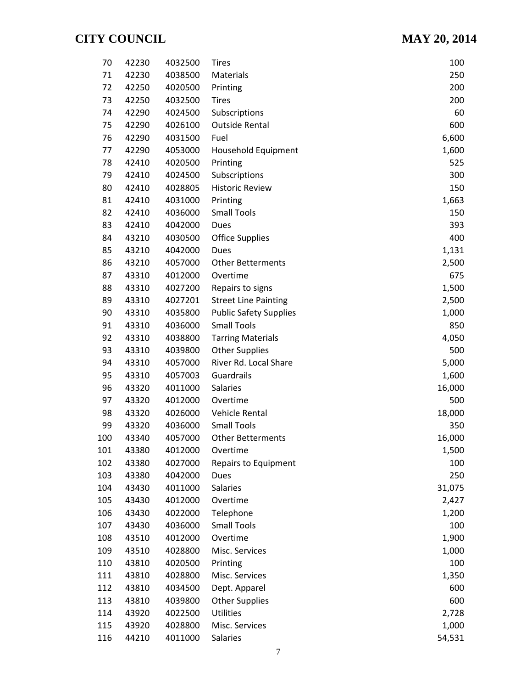| 70  | 42230 | 4032500 | <b>Tires</b>                  | 100    |
|-----|-------|---------|-------------------------------|--------|
| 71  | 42230 | 4038500 | Materials                     | 250    |
| 72  | 42250 | 4020500 | Printing                      | 200    |
| 73  | 42250 | 4032500 | <b>Tires</b>                  | 200    |
| 74  | 42290 | 4024500 | Subscriptions                 | 60     |
| 75  | 42290 | 4026100 | <b>Outside Rental</b>         | 600    |
| 76  | 42290 | 4031500 | Fuel                          | 6,600  |
| 77  | 42290 | 4053000 | Household Equipment           | 1,600  |
| 78  | 42410 | 4020500 | Printing                      | 525    |
| 79  | 42410 | 4024500 | Subscriptions                 | 300    |
| 80  | 42410 | 4028805 | <b>Historic Review</b>        | 150    |
| 81  | 42410 | 4031000 | Printing                      | 1,663  |
| 82  | 42410 | 4036000 | <b>Small Tools</b>            | 150    |
| 83  | 42410 | 4042000 | <b>Dues</b>                   | 393    |
| 84  | 43210 | 4030500 | <b>Office Supplies</b>        | 400    |
| 85  | 43210 | 4042000 | Dues                          | 1,131  |
| 86  | 43210 | 4057000 | <b>Other Betterments</b>      | 2,500  |
| 87  | 43310 | 4012000 | Overtime                      | 675    |
| 88  | 43310 | 4027200 | Repairs to signs              | 1,500  |
| 89  | 43310 | 4027201 | <b>Street Line Painting</b>   | 2,500  |
| 90  | 43310 | 4035800 | <b>Public Safety Supplies</b> | 1,000  |
| 91  | 43310 | 4036000 | <b>Small Tools</b>            | 850    |
| 92  | 43310 | 4038800 | <b>Tarring Materials</b>      | 4,050  |
| 93  | 43310 | 4039800 | <b>Other Supplies</b>         | 500    |
| 94  | 43310 | 4057000 | River Rd. Local Share         | 5,000  |
| 95  | 43310 | 4057003 | Guardrails                    | 1,600  |
| 96  | 43320 | 4011000 | <b>Salaries</b>               | 16,000 |
| 97  | 43320 | 4012000 | Overtime                      | 500    |
| 98  | 43320 | 4026000 | Vehicle Rental                | 18,000 |
| 99  | 43320 | 4036000 | <b>Small Tools</b>            | 350    |
| 100 | 43340 | 4057000 | <b>Other Betterments</b>      | 16,000 |
| 101 | 43380 | 4012000 | Overtime                      | 1,500  |
| 102 | 43380 | 4027000 | Repairs to Equipment          | 100    |
| 103 | 43380 | 4042000 | Dues                          | 250    |
| 104 | 43430 | 4011000 | Salaries                      | 31,075 |
| 105 | 43430 | 4012000 | Overtime                      | 2,427  |
| 106 | 43430 | 4022000 | Telephone                     | 1,200  |
| 107 | 43430 | 4036000 | <b>Small Tools</b>            | 100    |
| 108 | 43510 | 4012000 | Overtime                      | 1,900  |
| 109 | 43510 | 4028800 | Misc. Services                | 1,000  |
| 110 | 43810 | 4020500 | Printing                      | 100    |
| 111 | 43810 | 4028800 | Misc. Services                | 1,350  |
| 112 | 43810 | 4034500 | Dept. Apparel                 | 600    |
| 113 | 43810 | 4039800 | <b>Other Supplies</b>         | 600    |
| 114 | 43920 | 4022500 | <b>Utilities</b>              | 2,728  |
| 115 | 43920 | 4028800 | Misc. Services                | 1,000  |
| 116 | 44210 | 4011000 | Salaries                      | 54,531 |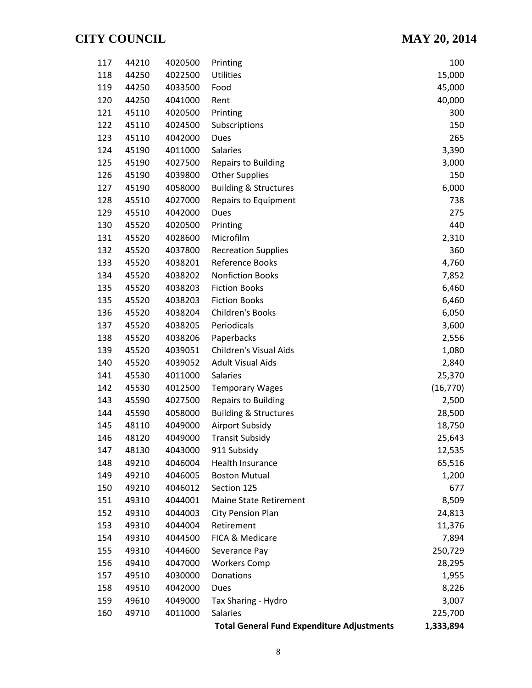| 117 | 44210 | 4020500 | Printing                                          | 100       |
|-----|-------|---------|---------------------------------------------------|-----------|
| 118 | 44250 | 4022500 | Utilities                                         | 15,000    |
| 119 | 44250 | 4033500 | Food                                              | 45,000    |
| 120 | 44250 | 4041000 | Rent                                              | 40,000    |
| 121 | 45110 | 4020500 | Printing                                          | 300       |
| 122 | 45110 | 4024500 | Subscriptions                                     | 150       |
| 123 | 45110 | 4042000 | Dues                                              | 265       |
| 124 | 45190 | 4011000 | <b>Salaries</b>                                   | 3,390     |
| 125 | 45190 | 4027500 | <b>Repairs to Building</b>                        | 3,000     |
| 126 | 45190 | 4039800 | <b>Other Supplies</b>                             | 150       |
| 127 | 45190 | 4058000 | <b>Building &amp; Structures</b>                  | 6,000     |
| 128 | 45510 | 4027000 | Repairs to Equipment                              | 738       |
| 129 | 45510 | 4042000 | Dues                                              | 275       |
| 130 | 45520 | 4020500 | Printing                                          | 440       |
| 131 | 45520 | 4028600 | Microfilm                                         | 2,310     |
| 132 | 45520 | 4037800 | <b>Recreation Supplies</b>                        | 360       |
| 133 | 45520 | 4038201 | Reference Books                                   | 4,760     |
| 134 | 45520 | 4038202 | <b>Nonfiction Books</b>                           | 7,852     |
| 135 | 45520 | 4038203 | <b>Fiction Books</b>                              | 6,460     |
| 135 | 45520 | 4038203 | <b>Fiction Books</b>                              | 6,460     |
| 136 | 45520 | 4038204 | Children's Books                                  | 6,050     |
| 137 | 45520 | 4038205 | Periodicals                                       | 3,600     |
| 138 | 45520 | 4038206 | Paperbacks                                        | 2,556     |
| 139 | 45520 | 4039051 | <b>Children's Visual Aids</b>                     | 1,080     |
| 140 | 45520 | 4039052 | <b>Adult Visual Aids</b>                          | 2,840     |
| 141 | 45530 | 4011000 | <b>Salaries</b>                                   | 25,370    |
| 142 | 45530 | 4012500 | <b>Temporary Wages</b>                            | (16, 770) |
| 143 | 45590 | 4027500 | <b>Repairs to Building</b>                        | 2,500     |
| 144 | 45590 | 4058000 | <b>Building &amp; Structures</b>                  | 28,500    |
| 145 | 48110 | 4049000 | Airport Subsidy                                   | 18,750    |
| 146 | 48120 | 4049000 | <b>Transit Subsidy</b>                            | 25,643    |
| 147 | 48130 | 4043000 | 911 Subsidy                                       | 12,535    |
| 148 | 49210 | 4046004 | Health Insurance                                  | 65,516    |
| 149 | 49210 | 4046005 | <b>Boston Mutual</b>                              | 1,200     |
| 150 | 49210 | 4046012 | Section 125                                       | 677       |
| 151 | 49310 | 4044001 | <b>Maine State Retirement</b>                     | 8,509     |
| 152 | 49310 | 4044003 | <b>City Pension Plan</b>                          | 24,813    |
| 153 | 49310 | 4044004 | Retirement                                        | 11,376    |
| 154 | 49310 | 4044500 | FICA & Medicare                                   | 7,894     |
| 155 | 49310 | 4044600 | Severance Pay                                     | 250,729   |
| 156 | 49410 | 4047000 | <b>Workers Comp</b>                               | 28,295    |
| 157 | 49510 | 4030000 | Donations                                         | 1,955     |
| 158 | 49510 | 4042000 | Dues                                              | 8,226     |
| 159 | 49610 | 4049000 | Tax Sharing - Hydro                               | 3,007     |
| 160 | 49710 | 4011000 | Salaries                                          | 225,700   |
|     |       |         | <b>Total General Fund Expenditure Adjustments</b> | 1,333,894 |
|     |       |         |                                                   |           |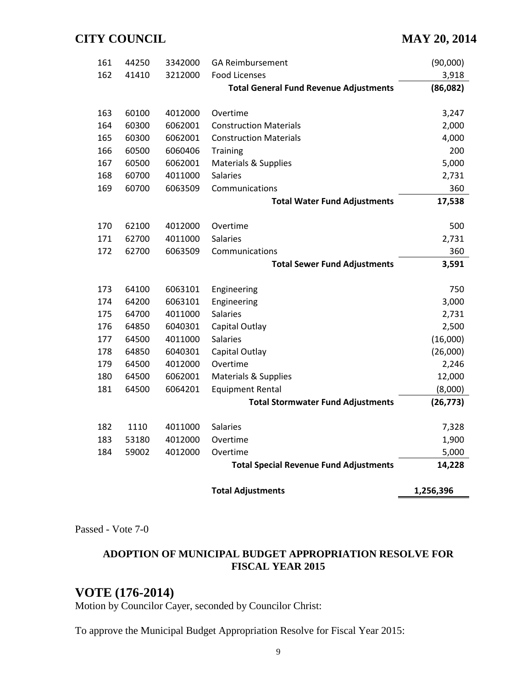| 161 | 44250 | 3342000 | <b>GA Reimbursement</b>                       | (90,000)  |
|-----|-------|---------|-----------------------------------------------|-----------|
| 162 | 41410 | 3212000 | <b>Food Licenses</b>                          | 3,918     |
|     |       |         | <b>Total General Fund Revenue Adjustments</b> | (86,082)  |
|     |       |         |                                               |           |
| 163 | 60100 | 4012000 | Overtime                                      | 3,247     |
| 164 | 60300 | 6062001 | <b>Construction Materials</b>                 | 2,000     |
| 165 | 60300 | 6062001 | <b>Construction Materials</b>                 | 4,000     |
| 166 | 60500 | 6060406 | Training                                      | 200       |
| 167 | 60500 | 6062001 | <b>Materials &amp; Supplies</b>               | 5,000     |
| 168 | 60700 | 4011000 | <b>Salaries</b>                               | 2,731     |
| 169 | 60700 | 6063509 | Communications                                | 360       |
|     |       |         | <b>Total Water Fund Adjustments</b>           | 17,538    |
|     |       |         |                                               |           |
| 170 | 62100 | 4012000 | Overtime                                      | 500       |
| 171 | 62700 | 4011000 | <b>Salaries</b>                               | 2,731     |
| 172 | 62700 | 6063509 | Communications                                | 360       |
|     |       |         | <b>Total Sewer Fund Adjustments</b>           | 3,591     |
|     |       |         |                                               |           |
| 173 | 64100 | 6063101 | Engineering                                   | 750       |
| 174 | 64200 | 6063101 | Engineering                                   | 3,000     |
| 175 | 64700 | 4011000 | <b>Salaries</b>                               | 2,731     |
| 176 | 64850 | 6040301 | Capital Outlay                                | 2,500     |
| 177 | 64500 | 4011000 | <b>Salaries</b>                               | (16,000)  |
| 178 | 64850 | 6040301 | Capital Outlay                                | (26,000)  |
| 179 | 64500 | 4012000 | Overtime                                      | 2,246     |
| 180 | 64500 | 6062001 | Materials & Supplies                          | 12,000    |
| 181 | 64500 | 6064201 | <b>Equipment Rental</b>                       | (8,000)   |
|     |       |         | <b>Total Stormwater Fund Adjustments</b>      | (26, 773) |
|     |       |         |                                               |           |
| 182 | 1110  | 4011000 | <b>Salaries</b>                               | 7,328     |
| 183 | 53180 | 4012000 | Overtime                                      | 1,900     |
| 184 | 59002 | 4012000 | Overtime                                      | 5,000     |
|     |       |         | <b>Total Special Revenue Fund Adjustments</b> | 14,228    |
|     |       |         | <b>Total Adjustments</b>                      | 1,256,396 |
|     |       |         |                                               |           |

Passed - Vote 7-0

#### **ADOPTION OF MUNICIPAL BUDGET APPROPRIATION RESOLVE FOR FISCAL YEAR 2015**

# **VOTE (176-2014)**

Motion by Councilor Cayer, seconded by Councilor Christ:

To approve the Municipal Budget Appropriation Resolve for Fiscal Year 2015: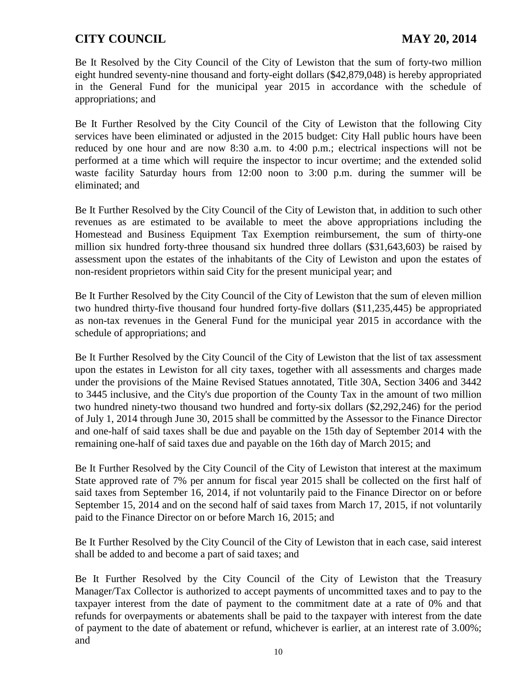Be It Resolved by the City Council of the City of Lewiston that the sum of forty-two million eight hundred seventy-nine thousand and forty-eight dollars (\$42,879,048) is hereby appropriated in the General Fund for the municipal year 2015 in accordance with the schedule of appropriations; and

Be It Further Resolved by the City Council of the City of Lewiston that the following City services have been eliminated or adjusted in the 2015 budget: City Hall public hours have been reduced by one hour and are now 8:30 a.m. to 4:00 p.m.; electrical inspections will not be performed at a time which will require the inspector to incur overtime; and the extended solid waste facility Saturday hours from 12:00 noon to 3:00 p.m. during the summer will be eliminated; and

Be It Further Resolved by the City Council of the City of Lewiston that, in addition to such other revenues as are estimated to be available to meet the above appropriations including the Homestead and Business Equipment Tax Exemption reimbursement, the sum of thirty-one million six hundred forty-three thousand six hundred three dollars (\$31,643,603) be raised by assessment upon the estates of the inhabitants of the City of Lewiston and upon the estates of non-resident proprietors within said City for the present municipal year; and

Be It Further Resolved by the City Council of the City of Lewiston that the sum of eleven million two hundred thirty-five thousand four hundred forty-five dollars (\$11,235,445) be appropriated as non-tax revenues in the General Fund for the municipal year 2015 in accordance with the schedule of appropriations; and

Be It Further Resolved by the City Council of the City of Lewiston that the list of tax assessment upon the estates in Lewiston for all city taxes, together with all assessments and charges made under the provisions of the Maine Revised Statues annotated, Title 30A, Section 3406 and 3442 to 3445 inclusive, and the City's due proportion of the County Tax in the amount of two million two hundred ninety-two thousand two hundred and forty-six dollars (\$2,292,246) for the period of July 1, 2014 through June 30, 2015 shall be committed by the Assessor to the Finance Director and one-half of said taxes shall be due and payable on the 15th day of September 2014 with the remaining one-half of said taxes due and payable on the 16th day of March 2015; and

Be It Further Resolved by the City Council of the City of Lewiston that interest at the maximum State approved rate of 7% per annum for fiscal year 2015 shall be collected on the first half of said taxes from September 16, 2014, if not voluntarily paid to the Finance Director on or before September 15, 2014 and on the second half of said taxes from March 17, 2015, if not voluntarily paid to the Finance Director on or before March 16, 2015; and

Be It Further Resolved by the City Council of the City of Lewiston that in each case, said interest shall be added to and become a part of said taxes; and

Be It Further Resolved by the City Council of the City of Lewiston that the Treasury Manager/Tax Collector is authorized to accept payments of uncommitted taxes and to pay to the taxpayer interest from the date of payment to the commitment date at a rate of 0% and that refunds for overpayments or abatements shall be paid to the taxpayer with interest from the date of payment to the date of abatement or refund, whichever is earlier, at an interest rate of 3.00%; and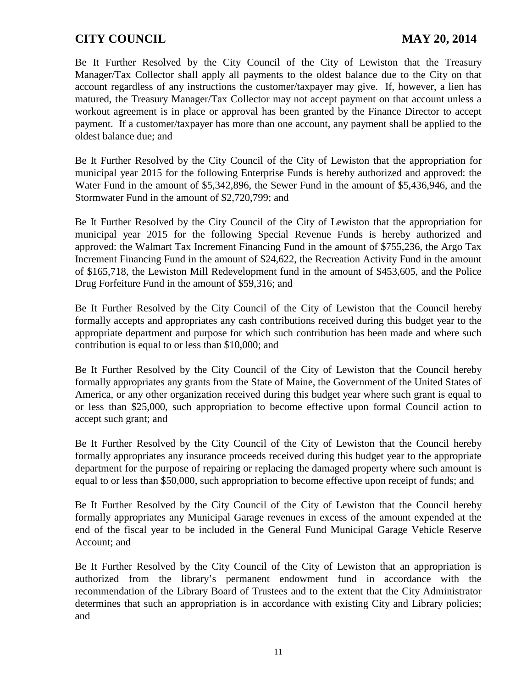Be It Further Resolved by the City Council of the City of Lewiston that the Treasury Manager/Tax Collector shall apply all payments to the oldest balance due to the City on that account regardless of any instructions the customer/taxpayer may give. If, however, a lien has matured, the Treasury Manager/Tax Collector may not accept payment on that account unless a workout agreement is in place or approval has been granted by the Finance Director to accept payment. If a customer/taxpayer has more than one account, any payment shall be applied to the oldest balance due; and

Be It Further Resolved by the City Council of the City of Lewiston that the appropriation for municipal year 2015 for the following Enterprise Funds is hereby authorized and approved: the Water Fund in the amount of \$5,342,896, the Sewer Fund in the amount of \$5,436,946, and the Stormwater Fund in the amount of \$2,720,799; and

Be It Further Resolved by the City Council of the City of Lewiston that the appropriation for municipal year 2015 for the following Special Revenue Funds is hereby authorized and approved: the Walmart Tax Increment Financing Fund in the amount of \$755,236, the Argo Tax Increment Financing Fund in the amount of \$24,622, the Recreation Activity Fund in the amount of \$165,718, the Lewiston Mill Redevelopment fund in the amount of \$453,605, and the Police Drug Forfeiture Fund in the amount of \$59,316; and

Be It Further Resolved by the City Council of the City of Lewiston that the Council hereby formally accepts and appropriates any cash contributions received during this budget year to the appropriate department and purpose for which such contribution has been made and where such contribution is equal to or less than \$10,000; and

Be It Further Resolved by the City Council of the City of Lewiston that the Council hereby formally appropriates any grants from the State of Maine, the Government of the United States of America, or any other organization received during this budget year where such grant is equal to or less than \$25,000, such appropriation to become effective upon formal Council action to accept such grant; and

Be It Further Resolved by the City Council of the City of Lewiston that the Council hereby formally appropriates any insurance proceeds received during this budget year to the appropriate department for the purpose of repairing or replacing the damaged property where such amount is equal to or less than \$50,000, such appropriation to become effective upon receipt of funds; and

Be It Further Resolved by the City Council of the City of Lewiston that the Council hereby formally appropriates any Municipal Garage revenues in excess of the amount expended at the end of the fiscal year to be included in the General Fund Municipal Garage Vehicle Reserve Account; and

Be It Further Resolved by the City Council of the City of Lewiston that an appropriation is authorized from the library's permanent endowment fund in accordance with the recommendation of the Library Board of Trustees and to the extent that the City Administrator determines that such an appropriation is in accordance with existing City and Library policies; and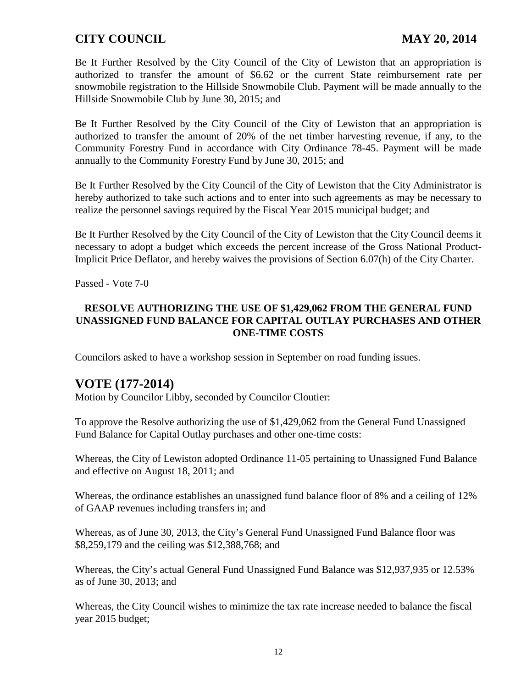Be It Further Resolved by the City Council of the City of Lewiston that an appropriation is authorized to transfer the amount of \$6.62 or the current State reimbursement rate per snowmobile registration to the Hillside Snowmobile Club. Payment will be made annually to the Hillside Snowmobile Club by June 30, 2015; and

Be It Further Resolved by the City Council of the City of Lewiston that an appropriation is authorized to transfer the amount of 20% of the net timber harvesting revenue, if any, to the Community Forestry Fund in accordance with City Ordinance 78-45. Payment will be made annually to the Community Forestry Fund by June 30, 2015; and

Be It Further Resolved by the City Council of the City of Lewiston that the City Administrator is hereby authorized to take such actions and to enter into such agreements as may be necessary to realize the personnel savings required by the Fiscal Year 2015 municipal budget; and

Be It Further Resolved by the City Council of the City of Lewiston that the City Council deems it necessary to adopt a budget which exceeds the percent increase of the Gross National Product-Implicit Price Deflator, and hereby waives the provisions of Section 6.07(h) of the City Charter.

Passed - Vote 7-0

#### **RESOLVE AUTHORIZING THE USE OF \$1,429,062 FROM THE GENERAL FUND UNASSIGNED FUND BALANCE FOR CAPITAL OUTLAY PURCHASES AND OTHER ONE-TIME COSTS**

Councilors asked to have a workshop session in September on road funding issues.

# **VOTE (177-2014)**

Motion by Councilor Libby, seconded by Councilor Cloutier:

To approve the Resolve authorizing the use of \$1,429,062 from the General Fund Unassigned Fund Balance for Capital Outlay purchases and other one-time costs:

Whereas, the City of Lewiston adopted Ordinance 11-05 pertaining to Unassigned Fund Balance and effective on August 18, 2011; and

Whereas, the ordinance establishes an unassigned fund balance floor of 8% and a ceiling of 12% of GAAP revenues including transfers in; and

Whereas, as of June 30, 2013, the City's General Fund Unassigned Fund Balance floor was \$8,259,179 and the ceiling was \$12,388,768; and

Whereas, the City's actual General Fund Unassigned Fund Balance was \$12,937,935 or 12.53% as of June 30, 2013; and

Whereas, the City Council wishes to minimize the tax rate increase needed to balance the fiscal year 2015 budget;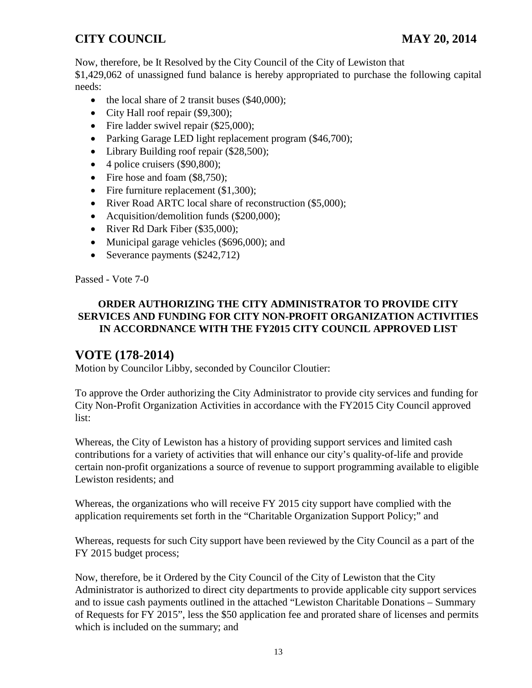Now, therefore, be It Resolved by the City Council of the City of Lewiston that \$1,429,062 of unassigned fund balance is hereby appropriated to purchase the following capital needs:

- the local share of 2 transit buses (\$40,000);
- City Hall roof repair (\$9,300);
- Fire ladder swivel repair (\$25,000);
- Parking Garage LED light replacement program (\$46,700);
- Library Building roof repair (\$28,500);
- 4 police cruisers (\$90,800);
- Fire hose and foam (\$8,750);
- Fire furniture replacement (\$1,300);
- River Road ARTC local share of reconstruction (\$5,000);
- Acquisition/demolition funds (\$200,000);
- River Rd Dark Fiber (\$35,000);
- Municipal garage vehicles (\$696,000); and
- Severance payments (\$242,712)

Passed - Vote 7-0

#### **ORDER AUTHORIZING THE CITY ADMINISTRATOR TO PROVIDE CITY SERVICES AND FUNDING FOR CITY NON-PROFIT ORGANIZATION ACTIVITIES IN ACCORDNANCE WITH THE FY2015 CITY COUNCIL APPROVED LIST**

# **VOTE (178-2014)**

Motion by Councilor Libby, seconded by Councilor Cloutier:

To approve the Order authorizing the City Administrator to provide city services and funding for City Non-Profit Organization Activities in accordance with the FY2015 City Council approved list:

Whereas, the City of Lewiston has a history of providing support services and limited cash contributions for a variety of activities that will enhance our city's quality-of-life and provide certain non-profit organizations a source of revenue to support programming available to eligible Lewiston residents; and

Whereas, the organizations who will receive FY 2015 city support have complied with the application requirements set forth in the "Charitable Organization Support Policy;" and

Whereas, requests for such City support have been reviewed by the City Council as a part of the FY 2015 budget process;

Now, therefore, be it Ordered by the City Council of the City of Lewiston that the City Administrator is authorized to direct city departments to provide applicable city support services and to issue cash payments outlined in the attached "Lewiston Charitable Donations – Summary of Requests for FY 2015", less the \$50 application fee and prorated share of licenses and permits which is included on the summary; and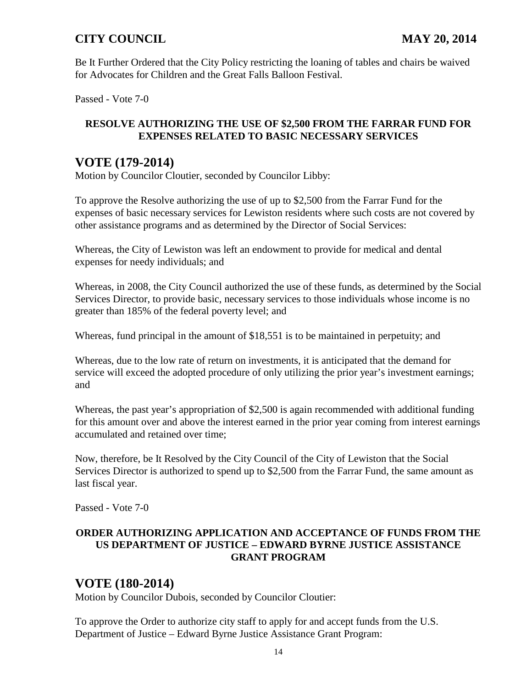Be It Further Ordered that the City Policy restricting the loaning of tables and chairs be waived for Advocates for Children and the Great Falls Balloon Festival.

Passed - Vote 7-0

#### **RESOLVE AUTHORIZING THE USE OF \$2,500 FROM THE FARRAR FUND FOR EXPENSES RELATED TO BASIC NECESSARY SERVICES**

# **VOTE (179-2014)**

Motion by Councilor Cloutier, seconded by Councilor Libby:

To approve the Resolve authorizing the use of up to \$2,500 from the Farrar Fund for the expenses of basic necessary services for Lewiston residents where such costs are not covered by other assistance programs and as determined by the Director of Social Services:

Whereas, the City of Lewiston was left an endowment to provide for medical and dental expenses for needy individuals; and

Whereas, in 2008, the City Council authorized the use of these funds, as determined by the Social Services Director, to provide basic, necessary services to those individuals whose income is no greater than 185% of the federal poverty level; and

Whereas, fund principal in the amount of \$18,551 is to be maintained in perpetuity; and

Whereas, due to the low rate of return on investments, it is anticipated that the demand for service will exceed the adopted procedure of only utilizing the prior year's investment earnings; and

Whereas, the past year's appropriation of \$2,500 is again recommended with additional funding for this amount over and above the interest earned in the prior year coming from interest earnings accumulated and retained over time;

Now, therefore, be It Resolved by the City Council of the City of Lewiston that the Social Services Director is authorized to spend up to \$2,500 from the Farrar Fund, the same amount as last fiscal year.

Passed - Vote 7-0

#### **ORDER AUTHORIZING APPLICATION AND ACCEPTANCE OF FUNDS FROM THE US DEPARTMENT OF JUSTICE – EDWARD BYRNE JUSTICE ASSISTANCE GRANT PROGRAM**

# **VOTE (180-2014)**

Motion by Councilor Dubois, seconded by Councilor Cloutier:

To approve the Order to authorize city staff to apply for and accept funds from the U.S. Department of Justice – Edward Byrne Justice Assistance Grant Program: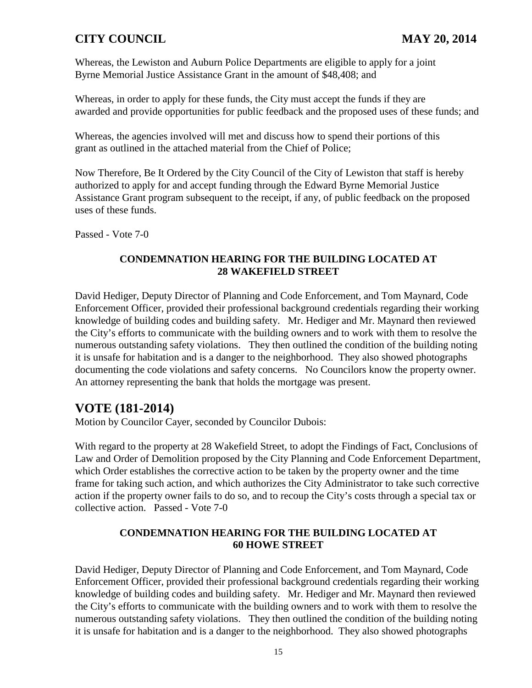Whereas, the Lewiston and Auburn Police Departments are eligible to apply for a joint Byrne Memorial Justice Assistance Grant in the amount of \$48,408; and

Whereas, in order to apply for these funds, the City must accept the funds if they are awarded and provide opportunities for public feedback and the proposed uses of these funds; and

Whereas, the agencies involved will met and discuss how to spend their portions of this grant as outlined in the attached material from the Chief of Police;

Now Therefore, Be It Ordered by the City Council of the City of Lewiston that staff is hereby authorized to apply for and accept funding through the Edward Byrne Memorial Justice Assistance Grant program subsequent to the receipt, if any, of public feedback on the proposed uses of these funds.

Passed - Vote 7-0

#### **CONDEMNATION HEARING FOR THE BUILDING LOCATED AT 28 WAKEFIELD STREET**

David Hediger, Deputy Director of Planning and Code Enforcement, and Tom Maynard, Code Enforcement Officer, provided their professional background credentials regarding their working knowledge of building codes and building safety. Mr. Hediger and Mr. Maynard then reviewed the City's efforts to communicate with the building owners and to work with them to resolve the numerous outstanding safety violations. They then outlined the condition of the building noting it is unsafe for habitation and is a danger to the neighborhood. They also showed photographs documenting the code violations and safety concerns. No Councilors know the property owner. An attorney representing the bank that holds the mortgage was present.

# **VOTE (181-2014)**

Motion by Councilor Cayer, seconded by Councilor Dubois:

With regard to the property at 28 Wakefield Street, to adopt the Findings of Fact, Conclusions of Law and Order of Demolition proposed by the City Planning and Code Enforcement Department, which Order establishes the corrective action to be taken by the property owner and the time frame for taking such action, and which authorizes the City Administrator to take such corrective action if the property owner fails to do so, and to recoup the City's costs through a special tax or collective action. Passed - Vote 7-0

#### **CONDEMNATION HEARING FOR THE BUILDING LOCATED AT 60 HOWE STREET**

David Hediger, Deputy Director of Planning and Code Enforcement, and Tom Maynard, Code Enforcement Officer, provided their professional background credentials regarding their working knowledge of building codes and building safety. Mr. Hediger and Mr. Maynard then reviewed the City's efforts to communicate with the building owners and to work with them to resolve the numerous outstanding safety violations. They then outlined the condition of the building noting it is unsafe for habitation and is a danger to the neighborhood. They also showed photographs